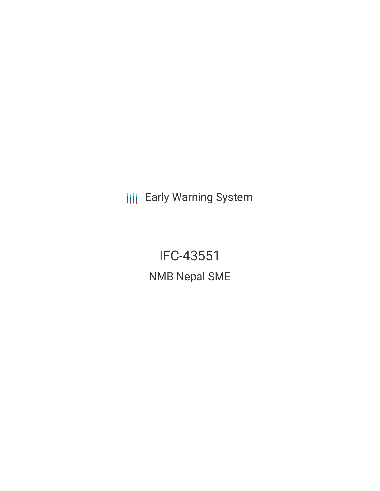**III** Early Warning System

IFC-43551 NMB Nepal SME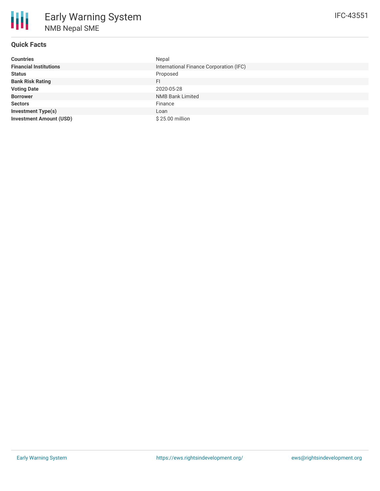# **Quick Facts**

| <b>Countries</b>               | Nepal                                   |
|--------------------------------|-----------------------------------------|
| <b>Financial Institutions</b>  | International Finance Corporation (IFC) |
| <b>Status</b>                  | Proposed                                |
| <b>Bank Risk Rating</b>        | FI.                                     |
| <b>Voting Date</b>             | 2020-05-28                              |
| <b>Borrower</b>                | <b>NMB Bank Limited</b>                 |
| <b>Sectors</b>                 | Finance                                 |
| <b>Investment Type(s)</b>      | Loan                                    |
| <b>Investment Amount (USD)</b> | \$25.00 million                         |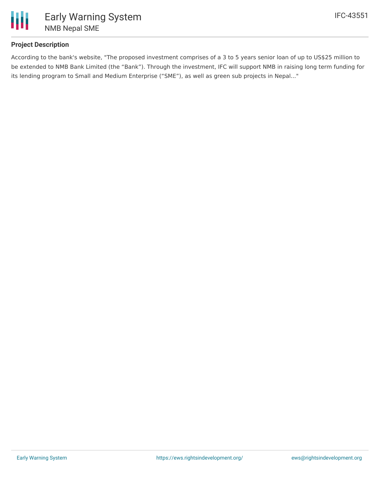

## **Project Description**

According to the bank's website, "The proposed investment comprises of a 3 to 5 years senior loan of up to US\$25 million to be extended to NMB Bank Limited (the "Bank"). Through the investment, IFC will support NMB in raising long term funding for its lending program to Small and Medium Enterprise ("SME"), as well as green sub projects in Nepal..."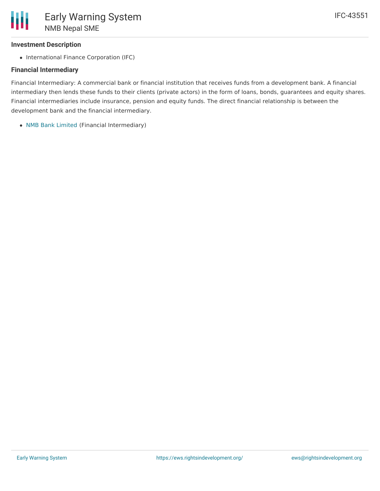### **Investment Description**

• International Finance Corporation (IFC)

#### **Financial Intermediary**

Financial Intermediary: A commercial bank or financial institution that receives funds from a development bank. A financial intermediary then lends these funds to their clients (private actors) in the form of loans, bonds, guarantees and equity shares. Financial intermediaries include insurance, pension and equity funds. The direct financial relationship is between the development bank and the financial intermediary.

NMB Bank [Limited](file:///actor/479/) (Financial Intermediary)